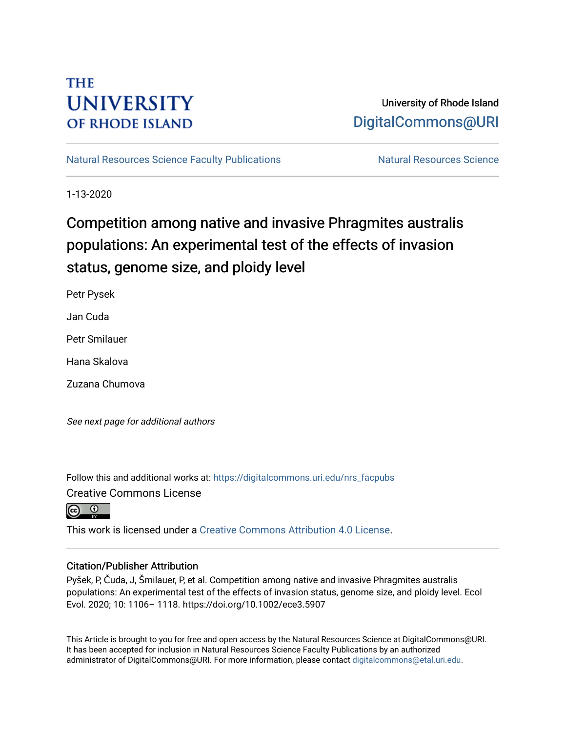## **THE UNIVERSITY OF RHODE ISLAND**

## University of Rhode Island [DigitalCommons@URI](https://digitalcommons.uri.edu/)

[Natural Resources Science Faculty Publications](https://digitalcommons.uri.edu/nrs_facpubs) Natural Resources Science

1-13-2020

# Competition among native and invasive Phragmites australis populations: An experimental test of the effects of invasion status, genome size, and ploidy level

Petr Pysek

Jan Cuda

Petr Smilauer

Hana Skalova

Zuzana Chumova

See next page for additional authors

Follow this and additional works at: [https://digitalcommons.uri.edu/nrs\\_facpubs](https://digitalcommons.uri.edu/nrs_facpubs?utm_source=digitalcommons.uri.edu%2Fnrs_facpubs%2F145&utm_medium=PDF&utm_campaign=PDFCoverPages)  Creative Commons License



This work is licensed under a [Creative Commons Attribution 4.0 License](https://creativecommons.org/licenses/by/4.0/).

## Citation/Publisher Attribution

Pyšek, P, Čuda, J, Šmilauer, P, et al. Competition among native and invasive Phragmites australis populations: An experimental test of the effects of invasion status, genome size, and ploidy level. Ecol Evol. 2020; 10: 1106– 1118. https://doi.org/10.1002/ece3.5907

This Article is brought to you for free and open access by the Natural Resources Science at DigitalCommons@URI. It has been accepted for inclusion in Natural Resources Science Faculty Publications by an authorized administrator of DigitalCommons@URI. For more information, please contact [digitalcommons@etal.uri.edu.](mailto:digitalcommons@etal.uri.edu)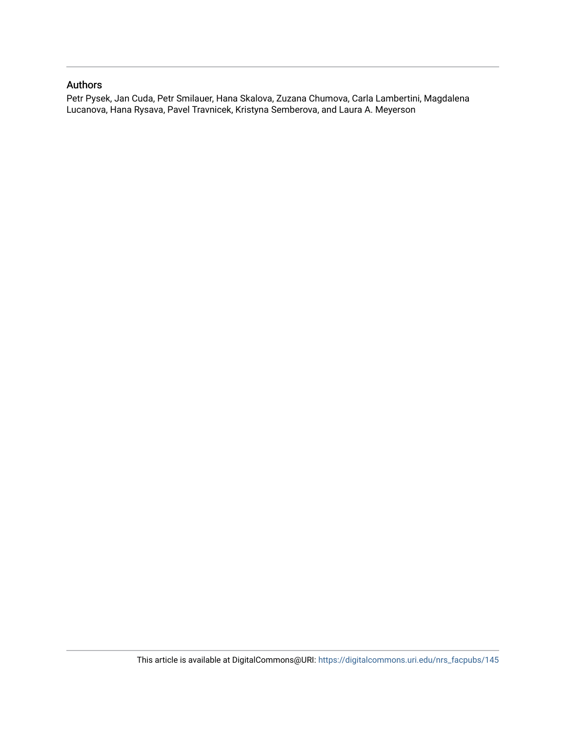## Authors

Petr Pysek, Jan Cuda, Petr Smilauer, Hana Skalova, Zuzana Chumova, Carla Lambertini, Magdalena Lucanova, Hana Rysava, Pavel Travnicek, Kristyna Semberova, and Laura A. Meyerson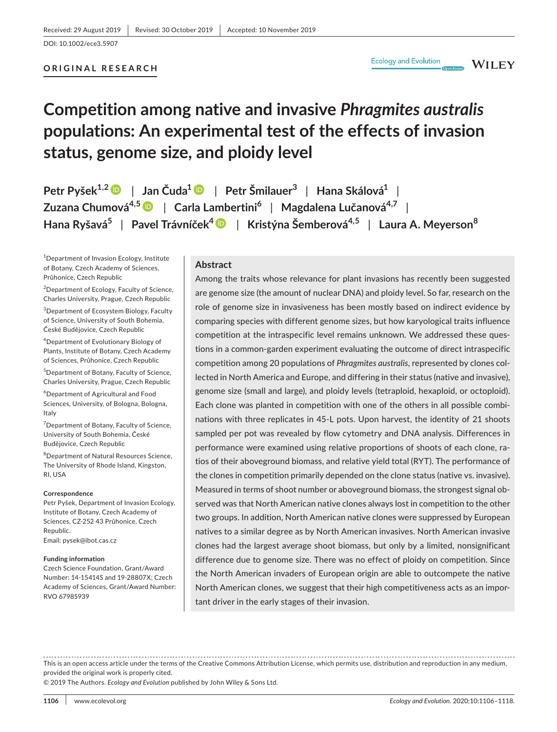#### **ORIGINAL RESEARCH**

**WILEY** 

## **Competition among native and invasive** *Phragmites australis* **populations: An experimental test of the effects of invasion status, genome size, and ploidy level**

**Petr Pyšek1,[2](https://orcid.org/0000-0001-8500-442X)** | **Jan Čuda[1](https://orcid.org/0000-0002-2370-2051)** | **Petr Šmilauer<sup>3</sup>** | **Hana Skálová1** | **Zuzana Chumová4,[5](https://orcid.org/0000-0002-6865-6183)** | **Carla Lambertini<sup>6</sup>** | **Magdalena Lučanová4,7** | **Hana Ryšavá5** | **Pavel Trávníček[4](https://orcid.org/0000-0002-5806-1645)** | **Kristýna Šemberová4,5** | **Laura A. Meyerson<sup>8</sup>**

1 Department of Invasion Ecology, Institute of Botany, Czech Academy of Sciences, Průhonice, Czech Republic

<sup>2</sup> Department of Ecology, Faculty of Science, Charles University, Prague, Czech Republic

<sup>3</sup>Department of Ecosystem Biology, Faculty of Science, University of South Bohemia, České Budějovice, Czech Republic

4 Department of Evolutionary Biology of Plants, Institute of Botany, Czech Academy of Sciences, Průhonice, Czech Republic

5 Department of Botany, Faculty of Science, Charles University, Prague, Czech Republic

6 Department of Agricultural and Food Sciences, University, of Bologna, Bologna, Italy

<sup>7</sup> Department of Botany, Faculty of Science, University of South Bohemia, České Budějovice, Czech Republic

8 Department of Natural Resources Science, The University of Rhode Island, Kingston, RI, USA

#### **Correspondence**

Petr Pyšek, Department of Invasion Ecology, Institute of Botany, Czech Academy of Sciences, CZ-252 43 Průhonice, Czech Republic. Email: [pysek@ibot.cas.cz](mailto:pysek@ibot.cas.cz)

#### **Funding information**

Czech Science Foundation, Grant/Award Number: 14-15414S and 19-28807X; Czech Academy of Sciences, Grant/Award Number: RVO 67985939

#### **Abstract**

Among the traits whose relevance for plant invasions has recently been suggested are genome size (the amount of nuclear DNA) and ploidy level. So far, research on the role of genome size in invasiveness has been mostly based on indirect evidence by comparing species with different genome sizes, but how karyological traits influence competition at the intraspecific level remains unknown. We addressed these questions in a common-garden experiment evaluating the outcome of direct intraspecific competition among 20 populations of *Phragmites australis*, represented by clones collected in North America and Europe, and differing in their status (native and invasive), genome size (small and large), and ploidy levels (tetraploid, hexaploid, or octoploid). Each clone was planted in competition with one of the others in all possible combinations with three replicates in 45-L pots. Upon harvest, the identity of 21 shoots sampled per pot was revealed by flow cytometry and DNA analysis. Differences in performance were examined using relative proportions of shoots of each clone, ratios of their aboveground biomass, and relative yield total (RYT). The performance of the clones in competition primarily depended on the clone status (native vs. invasive). Measured in terms of shoot number or aboveground biomass, the strongest signal observed was that North American native clones always lost in competition to the other two groups. In addition, North American native clones were suppressed by European natives to a similar degree as by North American invasives. North American invasive clones had the largest average shoot biomass, but only by a limited, nonsignificant difference due to genome size. There was no effect of ploidy on competition. Since the North American invaders of European origin are able to outcompete the native North American clones, we suggest that their high competitiveness acts as an important driver in the early stages of their invasion.

This is an open access article under the terms of the [Creative Commons Attribution](http://creativecommons.org/licenses/by/4.0/) License, which permits use, distribution and reproduction in any medium, provided the original work is properly cited.

© 2019 The Authors. *Ecology and Evolution* published by John Wiley & Sons Ltd.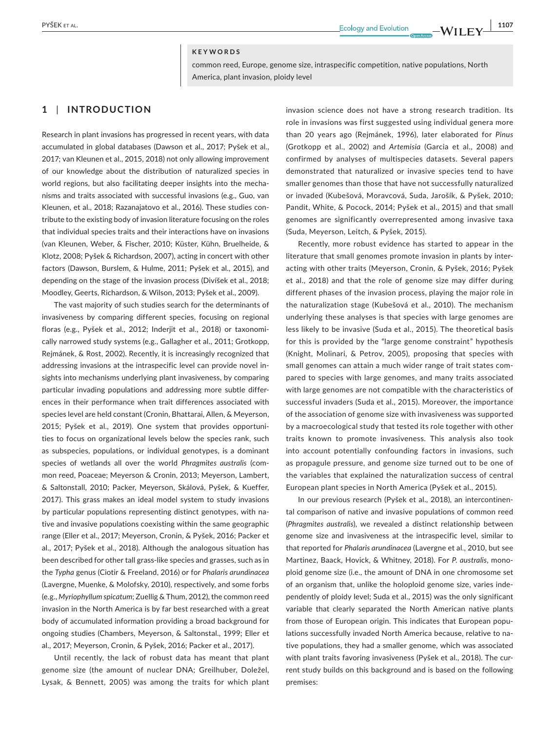#### **KEYWORDS**

common reed, Europe, genome size, intraspecific competition, native populations, North America, plant invasion, ploidy level

#### **1** | **INTRODUCTION**

Research in plant invasions has progressed in recent years, with data accumulated in global databases (Dawson et al., 2017; Pyšek et al., 2017; van Kleunen et al., 2015, 2018) not only allowing improvement of our knowledge about the distribution of naturalized species in world regions, but also facilitating deeper insights into the mechanisms and traits associated with successful invasions (e.g., Guo, van Kleunen, et al., 2018; Razanajatovo et al., 2016). These studies contribute to the existing body of invasion literature focusing on the roles that individual species traits and their interactions have on invasions (van Kleunen, Weber, & Fischer, 2010; Küster, Kühn, Bruelheide, & Klotz, 2008; Pyšek & Richardson, 2007), acting in concert with other factors (Dawson, Burslem, & Hulme, 2011; Pyšek et al., 2015), and depending on the stage of the invasion process (Divíšek et al., 2018; Moodley, Geerts, Richardson, & Wilson, 2013; Pyšek et al., 2009).

The vast majority of such studies search for the determinants of invasiveness by comparing different species, focusing on regional floras (e.g., Pyšek et al., 2012; Inderjit et al., 2018) or taxonomically narrowed study systems (e.g., Gallagher et al., 2011; Grotkopp, Rejmánek, & Rost, 2002). Recently, it is increasingly recognized that addressing invasions at the intraspecific level can provide novel insights into mechanisms underlying plant invasiveness, by comparing particular invading populations and addressing more subtle differences in their performance when trait differences associated with species level are held constant (Cronin, Bhattarai, Allen, & Meyerson, 2015; Pyšek et al., 2019). One system that provides opportunities to focus on organizational levels below the species rank, such as subspecies, populations, or individual genotypes, is a dominant species of wetlands all over the world *Phragmites australis* (common reed, Poaceae; Meyerson & Cronin, 2013; Meyerson, Lambert, & Saltonstall, 2010; Packer, Meyerson, Skálová, Pyšek, & Kueffer, 2017). This grass makes an ideal model system to study invasions by particular populations representing distinct genotypes, with native and invasive populations coexisting within the same geographic range (Eller et al., 2017; Meyerson, Cronin, & Pyšek, 2016; Packer et al., 2017; Pyšek et al., 2018). Although the analogous situation has been described for other tall grass-like species and grasses, such as in the *Typha* genus (Ciotir & Freeland, 2016) or for *Phalaris arundinacea* (Lavergne, Muenke, & Molofsky, 2010), respectively, and some forbs (e.g., *Myriophyllum spicatum*; Zuellig & Thum, 2012), the common reed invasion in the North America is by far best researched with a great body of accumulated information providing a broad background for ongoing studies (Chambers, Meyerson, & Saltonstal., 1999; Eller et al., 2017; Meyerson, Cronin, & Pyšek, 2016; Packer et al., 2017).

Until recently, the lack of robust data has meant that plant genome size (the amount of nuclear DNA; Greilhuber, Doležel, Lysak, & Bennett, 2005) was among the traits for which plant

invasion science does not have a strong research tradition. Its role in invasions was first suggested using individual genera more than 20 years ago (Rejmánek, 1996), later elaborated for *Pinus* (Grotkopp et al., 2002) and *Artemisia* (Garcia et al., 2008) and confirmed by analyses of multispecies datasets. Several papers demonstrated that naturalized or invasive species tend to have smaller genomes than those that have not successfully naturalized or invaded (Kubešová, Moravcová, Suda, Jarošík, & Pyšek, 2010; Pandit, White, & Pocock, 2014; Pyšek et al., 2015) and that small genomes are significantly overrepresented among invasive taxa (Suda, Meyerson, Leitch, & Pyšek, 2015).

Recently, more robust evidence has started to appear in the literature that small genomes promote invasion in plants by interacting with other traits (Meyerson, Cronin, & Pyšek, 2016; Pyšek et al., 2018) and that the role of genome size may differ during different phases of the invasion process, playing the major role in the naturalization stage (Kubešová et al., 2010). The mechanism underlying these analyses is that species with large genomes are less likely to be invasive (Suda et al., 2015). The theoretical basis for this is provided by the "large genome constraint" hypothesis (Knight, Molinari, & Petrov, 2005), proposing that species with small genomes can attain a much wider range of trait states compared to species with large genomes, and many traits associated with large genomes are not compatible with the characteristics of successful invaders (Suda et al., 2015). Moreover, the importance of the association of genome size with invasiveness was supported by a macroecological study that tested its role together with other traits known to promote invasiveness. This analysis also took into account potentially confounding factors in invasions, such as propagule pressure, and genome size turned out to be one of the variables that explained the naturalization success of central European plant species in North America (Pyšek et al., 2015).

In our previous research (Pyšek et al., 2018), an intercontinental comparison of native and invasive populations of common reed (*Phragmites australis*), we revealed a distinct relationship between genome size and invasiveness at the intraspecific level, similar to that reported for *Phalaris arundinacea* (Lavergne et al., 2010, but see Martinez, Baack, Hovick, & Whitney, 2018). For *P. australis*, monoploid genome size (i.e., the amount of DNA in one chromosome set of an organism that, unlike the holoploid genome size, varies independently of ploidy level; Suda et al., 2015) was the only significant variable that clearly separated the North American native plants from those of European origin. This indicates that European populations successfully invaded North America because, relative to native populations, they had a smaller genome, which was associated with plant traits favoring invasiveness (Pyšek et al., 2018). The current study builds on this background and is based on the following premises: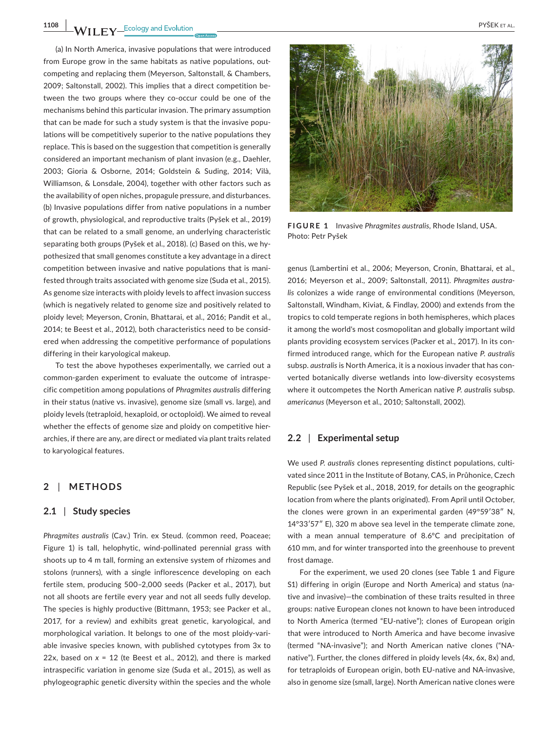**1108 LEV LEV EX EXECUTE BY EXECUTE BY A PYŠEK ET AL.** 

(a) In North America, invasive populations that were introduced from Europe grow in the same habitats as native populations, outcompeting and replacing them (Meyerson, Saltonstall, & Chambers, 2009; Saltonstall, 2002). This implies that a direct competition between the two groups where they co-occur could be one of the mechanisms behind this particular invasion. The primary assumption that can be made for such a study system is that the invasive populations will be competitively superior to the native populations they replace. This is based on the suggestion that competition is generally considered an important mechanism of plant invasion (e.g., Daehler, 2003; Gioria & Osborne, 2014; Goldstein & Suding, 2014; Vilà, Williamson, & Lonsdale, 2004), together with other factors such as the availability of open niches, propagule pressure, and disturbances. (b) Invasive populations differ from native populations in a number of growth, physiological, and reproductive traits (Pyšek et al., 2019) that can be related to a small genome, an underlying characteristic separating both groups (Pyšek et al., 2018). (c) Based on this, we hypothesized that small genomes constitute a key advantage in a direct competition between invasive and native populations that is manifested through traits associated with genome size (Suda et al., 2015). As genome size interacts with ploidy levels to affect invasion success (which is negatively related to genome size and positively related to ploidy level; Meyerson, Cronin, Bhattarai, et al., 2016; Pandit et al., 2014; te Beest et al., 2012), both characteristics need to be considered when addressing the competitive performance of populations differing in their karyological makeup.

To test the above hypotheses experimentally, we carried out a common-garden experiment to evaluate the outcome of intraspecific competition among populations of *Phragmites australis* differing in their status (native vs. invasive), genome size (small vs. large), and ploidy levels (tetraploid, hexaploid, or octoploid). We aimed to reveal whether the effects of genome size and ploidy on competitive hierarchies, if there are any, are direct or mediated via plant traits related to karyological features.

#### **2** | **METHODS**

#### **2.1** | **Study species**

*Phragmites australis* (Cav.) Trin. ex Steud. (common reed, Poaceae; Figure 1) is tall, helophytic, wind-pollinated perennial grass with shoots up to 4 m tall, forming an extensive system of rhizomes and stolons (runners), with a single inflorescence developing on each fertile stem, producing 500–2,000 seeds (Packer et al., 2017), but not all shoots are fertile every year and not all seeds fully develop. The species is highly productive (Bittmann, 1953; see Packer et al., 2017, for a review) and exhibits great genetic, karyological, and morphological variation. It belongs to one of the most ploidy-variable invasive species known, with published cytotypes from 3x to 22x, based on *x* = 12 (te Beest et al., 2012), and there is marked intraspecific variation in genome size (Suda et al., 2015), as well as phylogeographic genetic diversity within the species and the whole



**FIGURE 1** Invasive *Phragmites australis*, Rhode Island, USA. Photo: Petr Pyšek

genus (Lambertini et al., 2006; Meyerson, Cronin, Bhattarai, et al., 2016; Meyerson et al., 2009; Saltonstall, 2011). *Phragmites australis* colonizes a wide range of environmental conditions (Meyerson, Saltonstall, Windham, Kiviat, & Findlay, 2000) and extends from the tropics to cold temperate regions in both hemispheres, which places it among the world's most cosmopolitan and globally important wild plants providing ecosystem services (Packer et al., 2017). In its confirmed introduced range, which for the European native *P. australis* subsp. *australis* is North America, it is a noxious invader that has converted botanically diverse wetlands into low-diversity ecosystems where it outcompetes the North American native *P. australis* subsp. *americanus* (Meyerson et al., 2010; Saltonstall, 2002).

#### **2.2** | **Experimental setup**

We used *P. australis* clones representing distinct populations, cultivated since 2011 in the Institute of Botany, CAS, in Průhonice, Czech Republic (see Pyšek et al., 2018, 2019, for details on the geographic location from where the plants originated). From April until October, the clones were grown in an experimental garden (49°59′38″ N, 14°33′57″ E), 320 m above sea level in the temperate climate zone, with a mean annual temperature of 8.6°C and precipitation of 610 mm, and for winter transported into the greenhouse to prevent frost damage.

For the experiment, we used 20 clones (see Table 1 and Figure S1) differing in origin (Europe and North America) and status (native and invasive)—the combination of these traits resulted in three groups: native European clones not known to have been introduced to North America (termed "EU-native"); clones of European origin that were introduced to North America and have become invasive (termed "NA-invasive"); and North American native clones ("NAnative"). Further, the clones differed in ploidy levels (4x, 6x, 8x) and, for tetraploids of European origin, both EU-native and NA-invasive, also in genome size (small, large). North American native clones were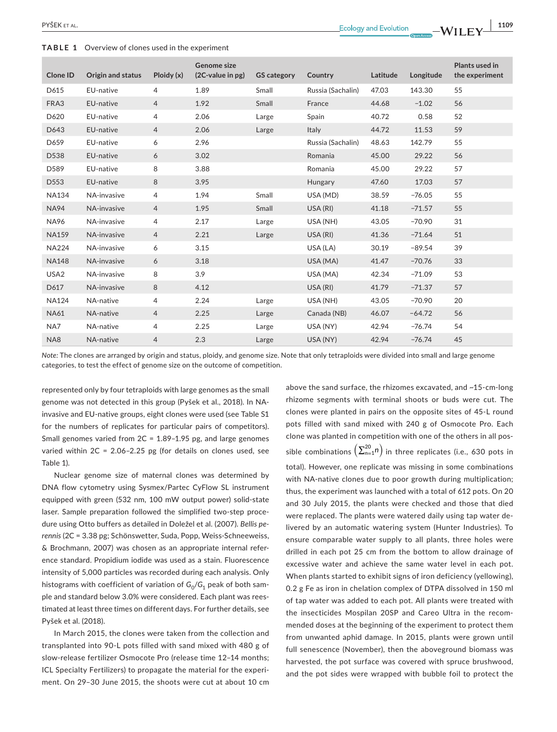| Clone ID         | Origin and status | Ploidy(x)      | Genome size<br>(2C-value in pg) | <b>GS category</b> | Country           | Latitude | Longitude | Plants used in<br>the experiment |
|------------------|-------------------|----------------|---------------------------------|--------------------|-------------------|----------|-----------|----------------------------------|
| D615             | EU-native         | 4              | 1.89                            | Small              | Russia (Sachalin) | 47.03    | 143.30    | 55                               |
| FRA3             | EU-native         | $\overline{4}$ | 1.92                            | Small              | France            | 44.68    | $-1.02$   | 56                               |
| D620             | EU-native         | 4              | 2.06                            | Large              | Spain             | 40.72    | 0.58      | 52                               |
| D643             | EU-native         | $\overline{4}$ | 2.06                            | Large              | Italy             | 44.72    | 11.53     | 59                               |
| D659             | EU-native         | 6              | 2.96                            |                    | Russia (Sachalin) | 48.63    | 142.79    | 55                               |
| D538             | EU-native         | 6              | 3.02                            |                    | Romania           | 45.00    | 29.22     | 56                               |
| D589             | EU-native         | 8              | 3.88                            |                    | Romania           | 45.00    | 29.22     | 57                               |
| D553             | EU-native         | 8              | 3.95                            |                    | Hungary           | 47.60    | 17.03     | 57                               |
| <b>NA134</b>     | NA-invasive       | $\overline{4}$ | 1.94                            | Small              | USA (MD)          | 38.59    | $-76.05$  | 55                               |
| <b>NA94</b>      | NA-invasive       | $\overline{4}$ | 1.95                            | Small              | USA (RI)          | 41.18    | $-71.57$  | 55                               |
| <b>NA96</b>      | NA-invasive       | $\overline{4}$ | 2.17                            | Large              | USA (NH)          | 43.05    | $-70.90$  | 31                               |
| <b>NA159</b>     | NA-invasive       | $\overline{4}$ | 2.21                            | Large              | USA (RI)          | 41.36    | $-71.64$  | 51                               |
| <b>NA224</b>     | NA-invasive       | 6              | 3.15                            |                    | USA (LA)          | 30.19    | $-89.54$  | 39                               |
| <b>NA148</b>     | NA-invasive       | 6              | 3.18                            |                    | USA (MA)          | 41.47    | $-70.76$  | 33                               |
| USA <sub>2</sub> | NA-invasive       | 8              | 3.9                             |                    | USA (MA)          | 42.34    | $-71.09$  | 53                               |
| D617             | NA-invasive       | 8              | 4.12                            |                    | USA (RI)          | 41.79    | $-71.37$  | 57                               |
| <b>NA124</b>     | NA-native         | 4              | 2.24                            | Large              | USA (NH)          | 43.05    | $-70.90$  | 20                               |
| <b>NA61</b>      | NA-native         | 4              | 2.25                            | Large              | Canada (NB)       | 46.07    | $-64.72$  | 56                               |
| NA7              | NA-native         | 4              | 2.25                            | Large              | USA (NY)          | 42.94    | $-76.74$  | 54                               |
| NA8              | NA-native         | $\overline{4}$ | 2.3                             | Large              | USA (NY)          | 42.94    | $-76.74$  | 45                               |

*Note:* The clones are arranged by origin and status, ploidy, and genome size. Note that only tetraploids were divided into small and large genome categories, to test the effect of genome size on the outcome of competition.

represented only by four tetraploids with large genomes as the small genome was not detected in this group (Pyšek et al., 2018). In NAinvasive and EU-native groups, eight clones were used (see Table S1 for the numbers of replicates for particular pairs of competitors). Small genomes varied from 2C = 1.89–1.95 pg, and large genomes varied within 2C = 2.06–2.25 pg (for details on clones used, see Table 1).

Nuclear genome size of maternal clones was determined by DNA flow cytometry using Sysmex/Partec CyFlow SL instrument equipped with green (532 nm, 100 mW output power) solid-state laser. Sample preparation followed the simplified two-step procedure using Otto buffers as detailed in Doležel et al. (2007). *Bellis perennis* (2C = 3.38 pg; Schönswetter, Suda, Popp, Weiss-Schneeweiss, & Brochmann, 2007) was chosen as an appropriate internal reference standard. Propidium iodide was used as a stain. Fluorescence intensity of 5,000 particles was recorded during each analysis. Only histograms with coefficient of variation of  $G_0/G_1$  peak of both sample and standard below 3.0% were considered. Each plant was reestimated at least three times on different days. For further details, see Pyšek et al. (2018).

In March 2015, the clones were taken from the collection and transplanted into 90-L pots filled with sand mixed with 480 g of slow-release fertilizer Osmocote Pro (release time 12–14 months; ICL Specialty Fertilizers) to propagate the material for the experiment. On 29–30 June 2015, the shoots were cut at about 10 cm

above the sand surface, the rhizomes excavated, and ~15-cm-long rhizome segments with terminal shoots or buds were cut. The clones were planted in pairs on the opposite sites of 45-L round pots filled with sand mixed with 240 g of Osmocote Pro. Each clone was planted in competition with one of the others in all possible combinations  $\left( \sum_{n=1}^{20} n \right)$  in three replicates (i.e., 630 pots in total). However, one replicate was missing in some combinations with NA-native clones due to poor growth during multiplication; thus, the experiment was launched with a total of 612 pots. On 20 and 30 July 2015, the plants were checked and those that died were replaced. The plants were watered daily using tap water delivered by an automatic watering system (Hunter Industries). To ensure comparable water supply to all plants, three holes were drilled in each pot 25 cm from the bottom to allow drainage of excessive water and achieve the same water level in each pot. When plants started to exhibit signs of iron deficiency (yellowing), 0.2 g Fe as iron in chelation complex of DTPA dissolved in 150 ml of tap water was added to each pot. All plants were treated with the insecticides Mospilan 20SP and Careo Ultra in the recommended doses at the beginning of the experiment to protect them from unwanted aphid damage. In 2015, plants were grown until full senescence (November), then the aboveground biomass was harvested, the pot surface was covered with spruce brushwood, and the pot sides were wrapped with bubble foil to protect the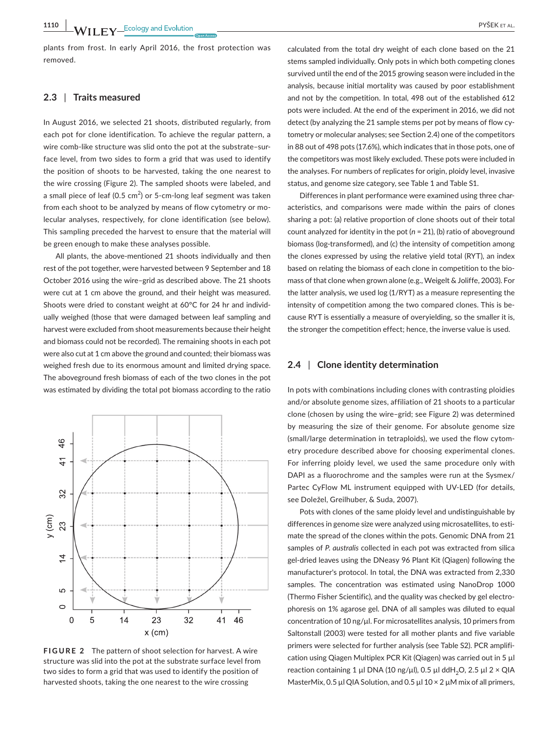plants from frost. In early April 2016, the frost protection was removed.

#### **2.3** | **Traits measured**

In August 2016, we selected 21 shoots, distributed regularly, from each pot for clone identification. To achieve the regular pattern, a wire comb-like structure was slid onto the pot at the substrate–surface level, from two sides to form a grid that was used to identify the position of shoots to be harvested, taking the one nearest to the wire crossing (Figure 2). The sampled shoots were labeled, and a small piece of leaf (0.5  $\text{cm}^2$ ) or 5-cm-long leaf segment was taken from each shoot to be analyzed by means of flow cytometry or molecular analyses, respectively, for clone identification (see below). This sampling preceded the harvest to ensure that the material will be green enough to make these analyses possible.

All plants, the above-mentioned 21 shoots individually and then rest of the pot together, were harvested between 9 September and 18 October 2016 using the wire–grid as described above. The 21 shoots were cut at 1 cm above the ground, and their height was measured. Shoots were dried to constant weight at 60°C for 24 hr and individually weighed (those that were damaged between leaf sampling and harvest were excluded from shoot measurements because their height and biomass could not be recorded). The remaining shoots in each pot were also cut at 1 cm above the ground and counted; their biomass was weighed fresh due to its enormous amount and limited drying space. The aboveground fresh biomass of each of the two clones in the pot was estimated by dividing the total pot biomass according to the ratio



**FIGURE 2** The pattern of shoot selection for harvest. A wire structure was slid into the pot at the substrate surface level from two sides to form a grid that was used to identify the position of harvested shoots, taking the one nearest to the wire crossing

calculated from the total dry weight of each clone based on the 21 stems sampled individually. Only pots in which both competing clones survived until the end of the 2015 growing season were included in the analysis, because initial mortality was caused by poor establishment and not by the competition. In total, 498 out of the established 612 pots were included. At the end of the experiment in 2016, we did not detect (by analyzing the 21 sample stems per pot by means of flow cytometry or molecular analyses; see Section 2.4) one of the competitors in 88 out of 498 pots (17.6%), which indicates that in those pots, one of the competitors was most likely excluded. These pots were included in the analyses. For numbers of replicates for origin, ploidy level, invasive status, and genome size category, see Table 1 and Table S1.

Differences in plant performance were examined using three characteristics, and comparisons were made within the pairs of clones sharing a pot: (a) relative proportion of clone shoots out of their total count analyzed for identity in the pot (*n* = 21), (b) ratio of aboveground biomass (log-transformed), and (c) the intensity of competition among the clones expressed by using the relative yield total (RYT), an index based on relating the biomass of each clone in competition to the biomass of that clone when grown alone (e.g., Weigelt & Joliffe, 2003). For the latter analysis, we used log (1/RYT) as a measure representing the intensity of competition among the two compared clones. This is because RYT is essentially a measure of overyielding, so the smaller it is, the stronger the competition effect; hence, the inverse value is used.

#### **2.4** | **Clone identity determination**

In pots with combinations including clones with contrasting ploidies and/or absolute genome sizes, affiliation of 21 shoots to a particular clone (chosen by using the wire–grid; see Figure 2) was determined by measuring the size of their genome. For absolute genome size (small/large determination in tetraploids), we used the flow cytometry procedure described above for choosing experimental clones. For inferring ploidy level, we used the same procedure only with DAPI as a fluorochrome and the samples were run at the Sysmex/ Partec CyFlow ML instrument equipped with UV-LED (for details, see Doležel, Greilhuber, & Suda, 2007).

Pots with clones of the same ploidy level and undistinguishable by differences in genome size were analyzed using microsatellites, to estimate the spread of the clones within the pots. Genomic DNA from 21 samples of *P. australis* collected in each pot was extracted from silica gel-dried leaves using the DNeasy 96 Plant Kit (Qiagen) following the manufacturer's protocol. In total, the DNA was extracted from 2,330 samples. The concentration was estimated using NanoDrop 1000 (Thermo Fisher Scientific), and the quality was checked by gel electrophoresis on 1% agarose gel. DNA of all samples was diluted to equal concentration of 10 ng/µl. For microsatellites analysis, 10 primers from Saltonstall (2003) were tested for all mother plants and five variable primers were selected for further analysis (see Table S2). PCR amplification using Qiagen Multiplex PCR Kit (Qiagen) was carried out in 5 µl reaction containing 1 µl DNA (10 ng/µl), 0.5 µl ddH<sub>2</sub>O, 2.5 µl 2 × QIA MasterMix, 0.5  $\mu$ I QIA Solution, and 0.5  $\mu$ I 10 × 2  $\mu$ M mix of all primers,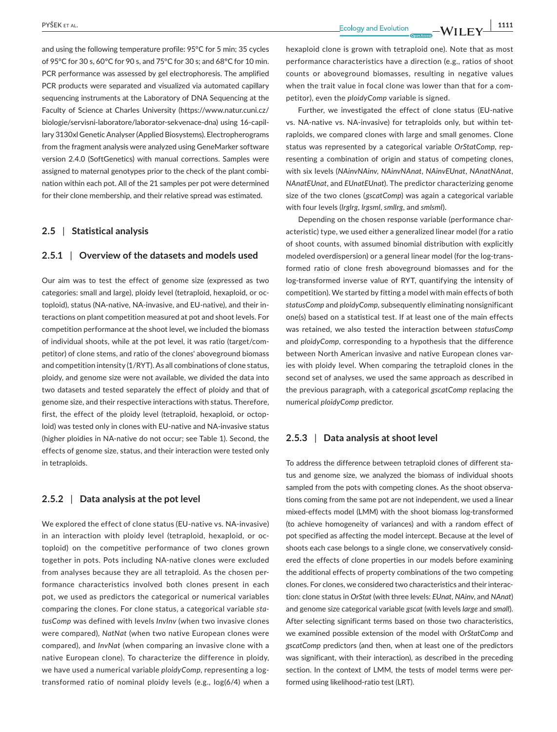and using the following temperature profile: 95°C for 5 min; 35 cycles of 95°C for 30 s, 60°C for 90 s, and 75°C for 30 s; and 68°C for 10 min. PCR performance was assessed by gel electrophoresis. The amplified PCR products were separated and visualized via automated capillary sequencing instruments at the Laboratory of DNA Sequencing at the Faculty of Science at Charles University [\(https://www.natur.cuni.cz/](https://www.natur.cuni.cz/biologie/servisni-laboratore/laborator-sekvenace-dna) [biologie/servisni-laboratore/laborator-sekvenace-dna](https://www.natur.cuni.cz/biologie/servisni-laboratore/laborator-sekvenace-dna)) using 16-capillary 3130xl Genetic Analyser (Applied Biosystems). Electropherograms from the fragment analysis were analyzed using GeneMarker software version 2.4.0 (SoftGenetics) with manual corrections. Samples were assigned to maternal genotypes prior to the check of the plant combination within each pot. All of the 21 samples per pot were determined for their clone membership, and their relative spread was estimated.

#### **2.5** | **Statistical analysis**

#### **2.5.1** | **Overview of the datasets and models used**

Our aim was to test the effect of genome size (expressed as two categories: small and large), ploidy level (tetraploid, hexaploid, or octoploid), status (NA-native, NA-invasive, and EU-native), and their interactions on plant competition measured at pot and shoot levels. For competition performance at the shoot level, we included the biomass of individual shoots, while at the pot level, it was ratio (target/competitor) of clone stems, and ratio of the clones' aboveground biomass and competition intensity (1/RYT). As all combinations of clone status, ploidy, and genome size were not available, we divided the data into two datasets and tested separately the effect of ploidy and that of genome size, and their respective interactions with status. Therefore, first, the effect of the ploidy level (tetraploid, hexaploid, or octoploid) was tested only in clones with EU-native and NA-invasive status (higher ploidies in NA-native do not occur; see Table 1). Second, the effects of genome size, status, and their interaction were tested only in tetraploids.

#### **2.5.2** | **Data analysis at the pot level**

We explored the effect of clone status (EU-native vs. NA-invasive) in an interaction with ploidy level (tetraploid, hexaploid, or octoploid) on the competitive performance of two clones grown together in pots. Pots including NA-native clones were excluded from analyses because they are all tetraploid. As the chosen performance characteristics involved both clones present in each pot, we used as predictors the categorical or numerical variables comparing the clones. For clone status, a categorical variable *statusComp* was defined with levels *InvInv* (when two invasive clones were compared), *NatNat* (when two native European clones were compared), and *InvNat* (when comparing an invasive clone with a native European clone). To characterize the difference in ploidy, we have used a numerical variable *ploidyComp*, representing a logtransformed ratio of nominal ploidy levels (e.g., log(6/4) when a

hexaploid clone is grown with tetraploid one). Note that as most performance characteristics have a direction (e.g., ratios of shoot counts or aboveground biomasses, resulting in negative values when the trait value in focal clone was lower than that for a competitor), even the *ploidyComp* variable is signed.

Further, we investigated the effect of clone status (EU-native vs. NA-native vs. NA-invasive) for tetraploids only, but within tetraploids, we compared clones with large and small genomes. Clone status was represented by a categorical variable *OrStatComp*, representing a combination of origin and status of competing clones, with six levels (*NAinvNAinv*, *NAinvNAnat*, *NAinvEUnat*, *NAnatNAnat*, *NAnatEUnat*, and *EUnatEUnat*). The predictor characterizing genome size of the two clones (*gscatComp*) was again a categorical variable with four levels (*lrglrg*, *lrgsml*, *smllrg*, and *smlsml*).

Depending on the chosen response variable (performance characteristic) type, we used either a generalized linear model (for a ratio of shoot counts, with assumed binomial distribution with explicitly modeled overdispersion) or a general linear model (for the log-transformed ratio of clone fresh aboveground biomasses and for the log-transformed inverse value of RYT, quantifying the intensity of competition). We started by fitting a model with main effects of both *statusComp* and *ploidyComp*, subsequently eliminating nonsignificant one(s) based on a statistical test. If at least one of the main effects was retained, we also tested the interaction between *statusComp* and *ploidyComp*, corresponding to a hypothesis that the difference between North American invasive and native European clones varies with ploidy level. When comparing the tetraploid clones in the second set of analyses, we used the same approach as described in the previous paragraph, with a categorical *gscatComp* replacing the numerical *ploidyComp* predictor.

#### **2.5.3** | **Data analysis at shoot level**

To address the difference between tetraploid clones of different status and genome size, we analyzed the biomass of individual shoots sampled from the pots with competing clones. As the shoot observations coming from the same pot are not independent, we used a linear mixed-effects model (LMM) with the shoot biomass log-transformed (to achieve homogeneity of variances) and with a random effect of pot specified as affecting the model intercept. Because at the level of shoots each case belongs to a single clone, we conservatively considered the effects of clone properties in our models before examining the additional effects of property combinations of the two competing clones. For clones, we considered two characteristics and their interaction: clone status in *OrStat* (with three levels: *EUnat*, *NAinv*, and *NAnat*) and genome size categorical variable *gscat* (with levels *large* and *small*). After selecting significant terms based on those two characteristics, we examined possible extension of the model with *OrStatComp* and *gscatComp* predictors (and then, when at least one of the predictors was significant, with their interaction), as described in the preceding section. In the context of LMM, the tests of model terms were performed using likelihood-ratio test (LRT).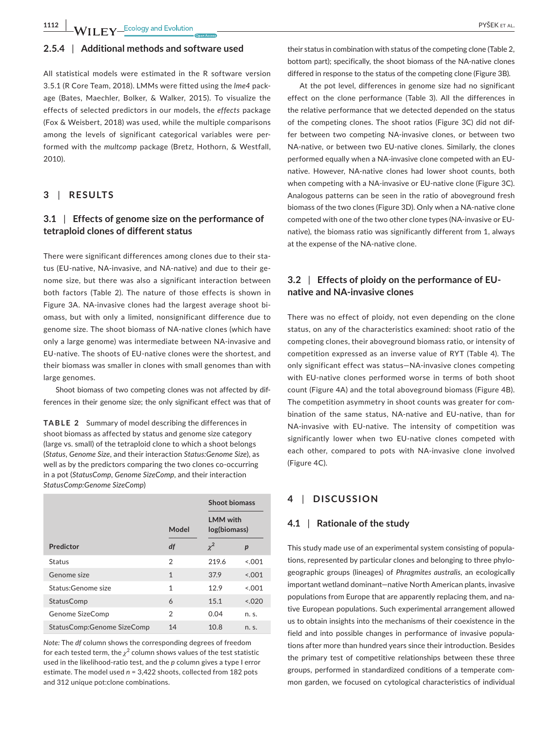**1112 WILEY** Ecology and Evolution **and Experience in the COVID-100** PYŠEK ET AL.

#### **2.5.4** | **Additional methods and software used**

All statistical models were estimated in the R software version 3.5.1 (R Core Team, 2018). LMMs were fitted using the *lme4* package (Bates, Maechler, Bolker, & Walker, 2015). To visualize the effects of selected predictors in our models, the *effects* package (Fox & Weisbert, 2018) was used, while the multiple comparisons among the levels of significant categorical variables were performed with the *multcomp* package (Bretz, Hothorn, & Westfall, 2010).

#### **3** | **RESULTS**

## **3.1** | **Effects of genome size on the performance of tetraploid clones of different status**

There were significant differences among clones due to their status (EU-native, NA-invasive, and NA-native) and due to their genome size, but there was also a significant interaction between both factors (Table 2). The nature of those effects is shown in Figure 3A. NA-invasive clones had the largest average shoot biomass, but with only a limited, nonsignificant difference due to genome size. The shoot biomass of NA-native clones (which have only a large genome) was intermediate between NA-invasive and EU-native. The shoots of EU-native clones were the shortest, and their biomass was smaller in clones with small genomes than with large genomes.

Shoot biomass of two competing clones was not affected by differences in their genome size; the only significant effect was that of

**TABLE 2** Summary of model describing the differences in shoot biomass as affected by status and genome size category (large vs. small) of the tetraploid clone to which a shoot belongs (*Status*, *Genome Size*, and their interaction *Status:Genome Size*), as well as by the predictors comparing the two clones co-occurring in a pot (*StatusComp*, *Genome SizeComp*, and their interaction *StatusComp:Genome SizeComp*)

|                            |              | <b>Shoot biomass</b>            |                  |  |
|----------------------------|--------------|---------------------------------|------------------|--|
|                            | Model        | <b>LMM</b> with<br>log(biomass) |                  |  |
| Predictor                  | df           | $\chi^2$                        | $\boldsymbol{p}$ |  |
| Status                     | 2            | 219.6                           | < 0.01           |  |
| Genome size                | $\mathbf{1}$ | 37.9                            | < 0.01           |  |
| Status:Genome size         | 1            | 12.9                            | 5.001            |  |
| StatusComp                 | 6            | 15.1                            | 0.020            |  |
| Genome SizeComp            | 2            | 0.04                            | n. s.            |  |
| StatusComp:Genome SizeComp | 14           | 10.8                            | n. s.            |  |

*Note:* The *df* column shows the corresponding degrees of freedom for each tested term, the  $\chi^2$  column shows values of the test statistic used in the likelihood-ratio test, and the *p* column gives a type I error estimate. The model used *n* = 3,422 shoots, collected from 182 pots and 312 unique pot:clone combinations.

their status in combination with status of the competing clone (Table 2, bottom part); specifically, the shoot biomass of the NA-native clones differed in response to the status of the competing clone (Figure 3B).

At the pot level, differences in genome size had no significant effect on the clone performance (Table 3). All the differences in the relative performance that we detected depended on the status of the competing clones. The shoot ratios (Figure 3C) did not differ between two competing NA-invasive clones, or between two NA-native, or between two EU-native clones. Similarly, the clones performed equally when a NA-invasive clone competed with an EUnative. However, NA-native clones had lower shoot counts, both when competing with a NA-invasive or EU-native clone (Figure 3C). Analogous patterns can be seen in the ratio of aboveground fresh biomass of the two clones (Figure 3D). Only when a NA-native clone competed with one of the two other clone types (NA-invasive or EUnative), the biomass ratio was significantly different from 1, always at the expense of the NA-native clone.

## **3.2** | **Effects of ploidy on the performance of EUnative and NA-invasive clones**

There was no effect of ploidy, not even depending on the clone status, on any of the characteristics examined: shoot ratio of the competing clones, their aboveground biomass ratio, or intensity of competition expressed as an inverse value of RYT (Table 4). The only significant effect was status—NA-invasive clones competing with EU-native clones performed worse in terms of both shoot count (Figure 4A) and the total aboveground biomass (Figure 4B). The competition asymmetry in shoot counts was greater for combination of the same status, NA-native and EU-native, than for NA-invasive with EU-native. The intensity of competition was significantly lower when two EU-native clones competed with each other, compared to pots with NA-invasive clone involved (Figure 4C).

### **4** | **DISCUSSION**

#### **4.1** | **Rationale of the study**

This study made use of an experimental system consisting of populations, represented by particular clones and belonging to three phylogeographic groups (lineages) of *Phragmites australis*, an ecologically important wetland dominant—native North American plants, invasive populations from Europe that are apparently replacing them, and native European populations. Such experimental arrangement allowed us to obtain insights into the mechanisms of their coexistence in the field and into possible changes in performance of invasive populations after more than hundred years since their introduction. Besides the primary test of competitive relationships between these three groups, performed in standardized conditions of a temperate common garden, we focused on cytological characteristics of individual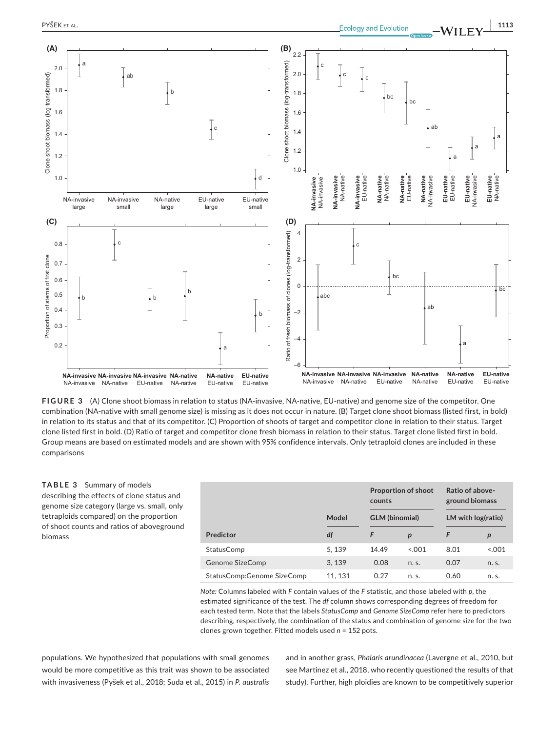

**FIGURE 3** (A) Clone shoot biomass in relation to status (NA-invasive, NA-native, EU-native) and genome size of the competitor. One combination (NA-native with small genome size) is missing as it does not occur in nature. (B) Target clone shoot biomass (listed first, in bold) in relation to its status and that of its competitor. (C) Proportion of shoots of target and competitor clone in relation to their status. Target clone listed first in bold. (D) Ratio of target and competitor clone fresh biomass in relation to their status. Target clone listed first in bold. Group means are based on estimated models and are shown with 95% confidence intervals. Only tetraploid clones are included in these comparisons

#### **TABLE 3** Summary of models describing the effects of clone status and genome size category (large vs. small, only tetraploids compared) on the proportion of shoot counts and ratios of aboveground biomass

|                            |         | counts                | <b>Proportion of shoot</b> |                    | Ratio of above-<br>ground biomass |  |
|----------------------------|---------|-----------------------|----------------------------|--------------------|-----------------------------------|--|
|                            | Model   | <b>GLM</b> (binomial) |                            | LM with log(ratio) |                                   |  |
| Predictor                  | df      | F                     | $\boldsymbol{p}$           | F                  | $\boldsymbol{p}$                  |  |
| StatusComp                 | 5, 139  | 14.49                 | 0.001                      | 8.01               | 0.001                             |  |
| Genome SizeComp            | 3.139   | 0.08                  | n. s.                      | 0.07               | n. s.                             |  |
| StatusComp:Genome SizeComp | 11, 131 | 0.27                  | n. s.                      | 0.60               | n. s.                             |  |

*Note:* Columns labeled with *F* contain values of the *F* statistic, and those labeled with *p*, the estimated significance of the test. The *df* column shows corresponding degrees of freedom for each tested term. Note that the labels *StatusComp* and *Genome SizeComp* refer here to predictors describing, respectively, the combination of the status and combination of genome size for the two clones grown together. Fitted models used *n* = 152 pots.

populations. We hypothesized that populations with small genomes would be more competitive as this trait was shown to be associated with invasiveness (Pyšek et al., 2018; Suda et al., 2015) in *P. australis* and in another grass, *Phalaris arundinacea* (Lavergne et al., 2010, but see Martinez et al., 2018, who recently questioned the results of that study). Further, high ploidies are known to be competitively superior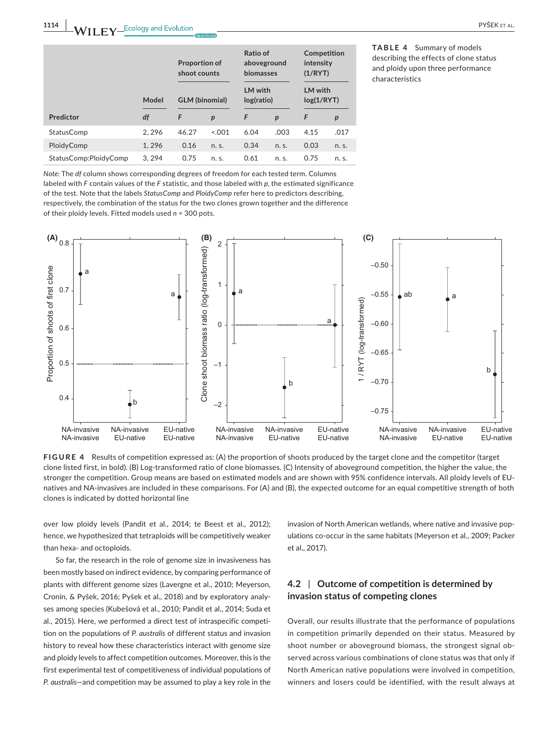|                       | <b>Proportion of</b><br>shoot counts |                                                | Ratio of<br>aboveground<br>biomasses |                                        | Competition<br>intensity<br>(1/RYT) |                                 |       |
|-----------------------|--------------------------------------|------------------------------------------------|--------------------------------------|----------------------------------------|-------------------------------------|---------------------------------|-------|
| Predictor             | Model<br>df                          | <b>GLM</b> (binomial)<br>F<br>$\boldsymbol{p}$ |                                      | <b>LM</b> with<br>log(ratio)<br>F<br>p |                                     | LM with<br>log(1/RYT)<br>F<br>p |       |
|                       |                                      |                                                |                                      |                                        |                                     |                                 |       |
| StatusComp            | 2, 296                               | 46.27                                          | 0.001                                | 6.04                                   | .003                                | 4.15                            | .017  |
| PloidyComp            | 1,296                                | 0.16                                           | n. s.                                | 0.34                                   | n. s.                               | 0.03                            | n. s. |
| StatusComp:PloidyComp | 3.294                                | 0.75                                           | n. s.                                | 0.61                                   | n. s.                               | 0.75                            | n. s. |

**TABLE 4** Summary of models describing the effects of clone status and ploidy upon three performance characteristics

*Note:* The *df* column shows corresponding degrees of freedom for each tested term. Columns labeled with *F* contain values of the *F* statistic, and those labeled with *p*, the estimated significance of the test. Note that the labels *StatusComp* and *PloidyComp* refer here to predictors describing, respectively, the combination of the status for the two clones grown together and the difference of their ploidy levels. Fitted models used *n* = 300 pots.



**FIGURE 4** Results of competition expressed as: (A) the proportion of shoots produced by the target clone and the competitor (target clone listed first, in bold). (B) Log-transformed ratio of clone biomasses. (C) Intensity of aboveground competition, the higher the value, the stronger the competition. Group means are based on estimated models and are shown with 95% confidence intervals. All ploidy levels of EUnatives and NA-invasives are included in these comparisons. For (A) and (B), the expected outcome for an equal competitive strength of both

over low ploidy levels (Pandit et al., 2014; te Beest et al., 2012); hence, we hypothesized that tetraploids will be competitively weaker than hexa- and octoploids.

So far, the research in the role of genome size in invasiveness has been mostly based on indirect evidence, by comparing performance of plants with different genome sizes (Lavergne et al., 2010; Meyerson, Cronin, & Pyšek, 2016; Pyšek et al., 2018) and by exploratory analyses among species (Kubešová et al., 2010; Pandit et al., 2014; Suda et al., 2015). Here, we performed a direct test of intraspecific competition on the populations of *P. australis* of different status and invasion history to reveal how these characteristics interact with genome size and ploidy levels to affect competition outcomes. Moreover, this is the first experimental test of competitiveness of individual populations of *P. australis*—and competition may be assumed to play a key role in the invasion of North American wetlands, where native and invasive populations co-occur in the same habitats (Meyerson et al., 2009; Packer et al., 2017).

## **4.2** | **Outcome of competition is determined by invasion status of competing clones**

Overall, our results illustrate that the performance of populations in competition primarily depended on their status. Measured by shoot number or aboveground biomass, the strongest signal observed across various combinations of clone status was that only if North American native populations were involved in competition, winners and losers could be identified, with the result always at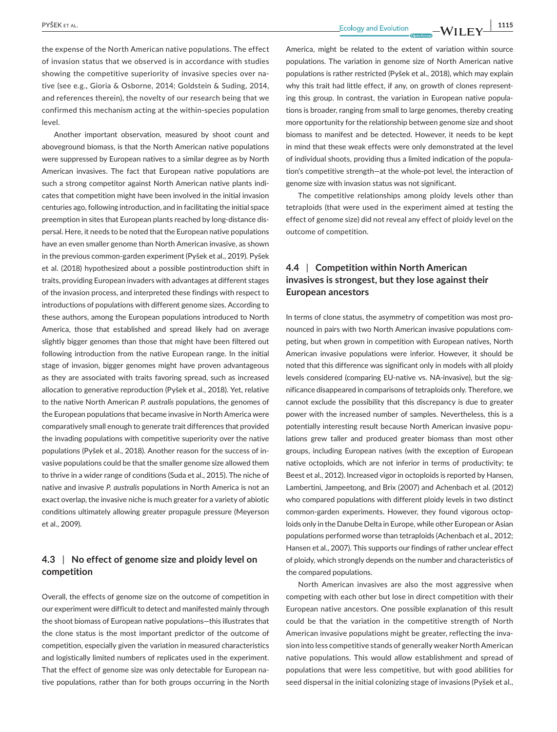PYŠEK ET AL. **ISO REAL EXECUTE AS A PROPERTY ASSESS** ECOLOGY AND EVIDENCE THE **NUMBER OF A LIST OF A LIST OF A LIST OF A LIST OF A LIST OF A LIST OF A LIST OF A LIST OF A LIST OF A LIST OF A LIST OF A LIST OF A LIST OF A L** 

the expense of the North American native populations. The effect of invasion status that we observed is in accordance with studies showing the competitive superiority of invasive species over native (see e.g., Gioria & Osborne, 2014; Goldstein & Suding, 2014, and references therein), the novelty of our research being that we confirmed this mechanism acting at the within-species population level.

Another important observation, measured by shoot count and aboveground biomass, is that the North American native populations were suppressed by European natives to a similar degree as by North American invasives. The fact that European native populations are such a strong competitor against North American native plants indicates that competition might have been involved in the initial invasion centuries ago, following introduction, and in facilitating the initial space preemption in sites that European plants reached by long-distance dispersal. Here, it needs to be noted that the European native populations have an even smaller genome than North American invasive, as shown in the previous common-garden experiment (Pyšek et al., 2019). Pyšek et al. (2018) hypothesized about a possible postintroduction shift in traits, providing European invaders with advantages at different stages of the invasion process, and interpreted these findings with respect to introductions of populations with different genome sizes. According to these authors, among the European populations introduced to North America, those that established and spread likely had on average slightly bigger genomes than those that might have been filtered out following introduction from the native European range. In the initial stage of invasion, bigger genomes might have proven advantageous as they are associated with traits favoring spread, such as increased allocation to generative reproduction (Pyšek et al., 2018). Yet, relative to the native North American *P. australis* populations, the genomes of the European populations that became invasive in North America were comparatively small enough to generate trait differences that provided the invading populations with competitive superiority over the native populations (Pyšek et al., 2018). Another reason for the success of invasive populations could be that the smaller genome size allowed them to thrive in a wider range of conditions (Suda et al., 2015). The niche of native and invasive *P. australis* populations in North America is not an exact overlap, the invasive niche is much greater for a variety of abiotic conditions ultimately allowing greater propagule pressure (Meyerson et al., 2009).

## **4.3** | **No effect of genome size and ploidy level on competition**

Overall, the effects of genome size on the outcome of competition in our experiment were difficult to detect and manifested mainly through the shoot biomass of European native populations—this illustrates that the clone status is the most important predictor of the outcome of competition, especially given the variation in measured characteristics and logistically limited numbers of replicates used in the experiment. That the effect of genome size was only detectable for European native populations, rather than for both groups occurring in the North

America, might be related to the extent of variation within source populations. The variation in genome size of North American native populations is rather restricted (Pyšek et al., 2018), which may explain why this trait had little effect, if any, on growth of clones representing this group. In contrast, the variation in European native populations is broader, ranging from small to large genomes, thereby creating more opportunity for the relationship between genome size and shoot biomass to manifest and be detected. However, it needs to be kept in mind that these weak effects were only demonstrated at the level of individual shoots, providing thus a limited indication of the population's competitive strength—at the whole-pot level, the interaction of genome size with invasion status was not significant.

The competitive relationships among ploidy levels other than tetraploids (that were used in the experiment aimed at testing the effect of genome size) did not reveal any effect of ploidy level on the outcome of competition.

## **4.4** | **Competition within North American invasives is strongest, but they lose against their European ancestors**

In terms of clone status, the asymmetry of competition was most pronounced in pairs with two North American invasive populations competing, but when grown in competition with European natives, North American invasive populations were inferior. However, it should be noted that this difference was significant only in models with all ploidy levels considered (comparing EU-native vs. NA-invasive), but the significance disappeared in comparisons of tetraploids only. Therefore, we cannot exclude the possibility that this discrepancy is due to greater power with the increased number of samples. Nevertheless, this is a potentially interesting result because North American invasive populations grew taller and produced greater biomass than most other groups, including European natives (with the exception of European native octoploids, which are not inferior in terms of productivity; te Beest et al., 2012). Increased vigor in octoploids is reported by Hansen, Lambertini, Jampeetong, and Brix (2007) and Achenbach et al. (2012) who compared populations with different ploidy levels in two distinct common-garden experiments. However, they found vigorous octoploids only in the Danube Delta in Europe, while other European or Asian populations performed worse than tetraploids (Achenbach et al., 2012; Hansen et al., 2007). This supports our findings of rather unclear effect of ploidy, which strongly depends on the number and characteristics of the compared populations.

North American invasives are also the most aggressive when competing with each other but lose in direct competition with their European native ancestors. One possible explanation of this result could be that the variation in the competitive strength of North American invasive populations might be greater, reflecting the invasion into less competitive stands of generally weaker North American native populations. This would allow establishment and spread of populations that were less competitive, but with good abilities for seed dispersal in the initial colonizing stage of invasions (Pyšek et al.,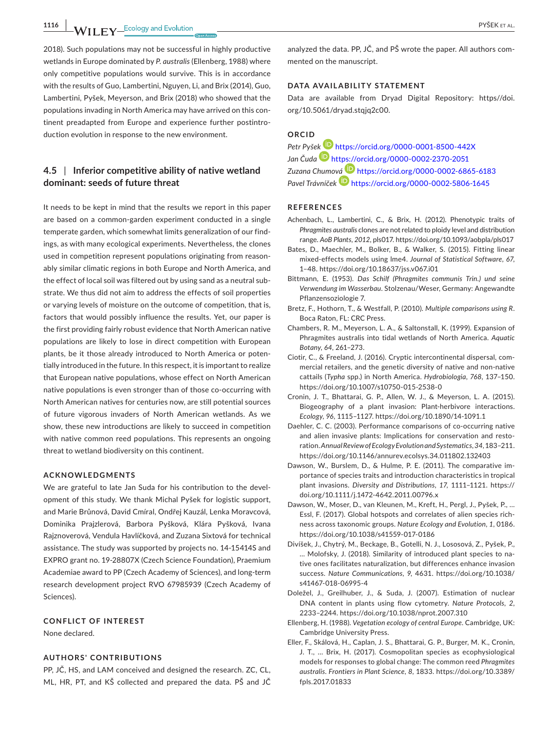**1116 WII FY** Ecology and Evolution **and Experiment Construction** PYŠEK ET AL.

2018). Such populations may not be successful in highly productive wetlands in Europe dominated by *P. australis* (Ellenberg, 1988) where only competitive populations would survive. This is in accordance with the results of Guo, Lambertini, Nguyen, Li, and Brix (2014), Guo, Lambertini, Pyšek, Meyerson, and Brix (2018) who showed that the populations invading in North America may have arrived on this continent preadapted from Europe and experience further postintroduction evolution in response to the new environment.

## **4.5** | **Inferior competitive ability of native wetland dominant: seeds of future threat**

It needs to be kept in mind that the results we report in this paper are based on a common-garden experiment conducted in a single temperate garden, which somewhat limits generalization of our findings, as with many ecological experiments. Nevertheless, the clones used in competition represent populations originating from reasonably similar climatic regions in both Europe and North America, and the effect of local soil was filtered out by using sand as a neutral substrate. We thus did not aim to address the effects of soil properties or varying levels of moisture on the outcome of competition, that is, factors that would possibly influence the results. Yet, our paper is the first providing fairly robust evidence that North American native populations are likely to lose in direct competition with European plants, be it those already introduced to North America or potentially introduced in the future. In this respect, it is important to realize that European native populations, whose effect on North American native populations is even stronger than of those co-occurring with North American natives for centuries now, are still potential sources of future vigorous invaders of North American wetlands. As we show, these new introductions are likely to succeed in competition with native common reed populations. This represents an ongoing threat to wetland biodiversity on this continent.

#### **ACKNOWLEDGMENTS**

We are grateful to late Jan Suda for his contribution to the development of this study. We thank Michal Pyšek for logistic support, and Marie Brůnová, David Cmíral, Ondřej Kauzál, Lenka Moravcová, Dominika Prajzlerová, Barbora Pyšková, Klára Pyšková, Ivana Rajznoverová, Vendula Havlíčková, and Zuzana Sixtová for technical assistance. The study was supported by projects no. 14-15414S and EXPRO grant no. 19-28807X (Czech Science Foundation), Praemium Academiae award to PP (Czech Academy of Sciences), and long-term research development project RVO 67985939 (Czech Academy of Sciences).

#### **CONFLICT OF INTEREST**

None declared.

### **AUTHORS' CONTRIBUTIONS**

PP, JČ, HS, and LAM conceived and designed the research. ZC, CL, ML, HR, PT, and KŠ collected and prepared the data. PŠ and JČ

analyzed the data. PP, JČ, and PŠ wrote the paper. All authors commented on the manuscript.

#### **DATA AVAILABILITY STATEMENT**

Data are available from Dryad Digital Repository: [https//doi.](https://https//doi.org/10.5061/dryad.stqjq2c00) [org/10.5061/dryad.stqjq2c00](https://https//doi.org/10.5061/dryad.stqjq2c00).

#### **ORCID**

*Petr Pyš[ek](https://orcid.org/0000-0002-2370-2051)* <https://orcid.org/0000-0001-8500-442X> *Jan Čuda* <https://orcid.org/0000-0002-2370-2051> *Zuzana Chumo[vá](https://orcid.org/0000-0002-5806-1645)* <https://orcid.org/0000-0002-6865-6183> *Pavel Trávníček* <https://orcid.org/0000-0002-5806-1645>

#### **REFERENCES**

- Achenbach, L., Lambertini, C., & Brix, H. (2012). Phenotypic traits of *Phragmites australis* clones are not related to ploidy level and distribution range. *AoB Plants*, *2012*, pls017.<https://doi.org/10.1093/aobpla/pls017>
- Bates, D., Maechler, M., Bolker, B., & Walker, S. (2015). Fitting linear mixed-effects models using lme4. *Journal of Statistical Software*, *67*, 1–48. <https://doi.org/10.18637/jss.v067.i01>
- Bittmann, E. (1953). *Das Schilf (Phragmites communis Trin.) und seine Verwendung im Wasserbau*. Stolzenau/Weser, Germany: Angewandte Pflanzensoziologie 7.
- Bretz, F., Hothorn, T., & Westfall, P. (2010). *Multiple comparisons using R*. Boca Raton, FL: CRC Press.
- Chambers, R. M., Meyerson, L. A., & Saltonstall, K. (1999). Expansion of Phragmites australis into tidal wetlands of North America. *Aquatic Botany*, *64*, 261–273.
- Ciotir, C., & Freeland, J. (2016). Cryptic intercontinental dispersal, commercial retailers, and the genetic diversity of native and non-native cattails (*Typha* spp.) in North America. *Hydrobiologia*, *768*, 137–150. <https://doi.org/10.1007/s10750-015-2538-0>
- Cronin, J. T., Bhattarai, G. P., Allen, W. J., & Meyerson, L. A. (2015). Biogeography of a plant invasion: Plant-herbivore interactions. *Ecology*, *96*, 1115–1127. <https://doi.org/10.1890/14-1091.1>
- Daehler, C. C. (2003). Performance comparisons of co-occurring native and alien invasive plants: Implications for conservation and restoration. *Annual Review of Ecology Evolution and Systematics*, *34*, 183–211. <https://doi.org/10.1146/annurev.ecolsys.34.011802.132403>
- Dawson, W., Burslem, D., & Hulme, P. E. (2011). The comparative importance of species traits and introduction characteristics in tropical plant invasions. *Diversity and Distributions*, *17*, 1111–1121. [https://](https://doi.org/10.1111/j.1472-4642.2011.00796.x) [doi.org/10.1111/j.1472-4642.2011.00796.x](https://doi.org/10.1111/j.1472-4642.2011.00796.x)
- Dawson, W., Moser, D., van Kleunen, M., Kreft, H., Pergl, J., Pyšek, P., … Essl, F. (2017). Global hotspots and correlates of alien species richness across taxonomic groups. *Nature Ecology and Evolution*, *1*, 0186. <https://doi.org/10.1038/s41559-017-0186>
- Divíšek, J., Chytrý, M., Beckage, B., Gotelli, N. J., Lososová, Z., Pyšek, P., … Molofsky, J. (2018). Similarity of introduced plant species to native ones facilitates naturalization, but differences enhance invasion success. *Nature Communications*, *9*, 4631. [https://doi.org/10.1038/](https://doi.org/10.1038/s41467-018-06995-4) [s41467-018-06995-4](https://doi.org/10.1038/s41467-018-06995-4)
- Doležel, J., Greilhuber, J., & Suda, J. (2007). Estimation of nuclear DNA content in plants using flow cytometry. *Nature Protocols*, *2*, 2233–2244. <https://doi.org/10.1038/nprot.2007.310>
- Ellenberg, H. (1988). *Vegetation ecology of central Europe*. Cambridge, UK: Cambridge University Press.
- Eller, F., Skálová, H., Caplan, J. S., Bhattarai, G. P., Burger, M. K., Cronin, J. T., … Brix, H. (2017). Cosmopolitan species as ecophysiological models for responses to global change: The common reed *Phragmites australis*. *Frontiers in Plant Science*, *8*, 1833. [https://doi.org/10.3389/](https://doi.org/10.3389/fpls.2017.01833) [fpls.2017.01833](https://doi.org/10.3389/fpls.2017.01833)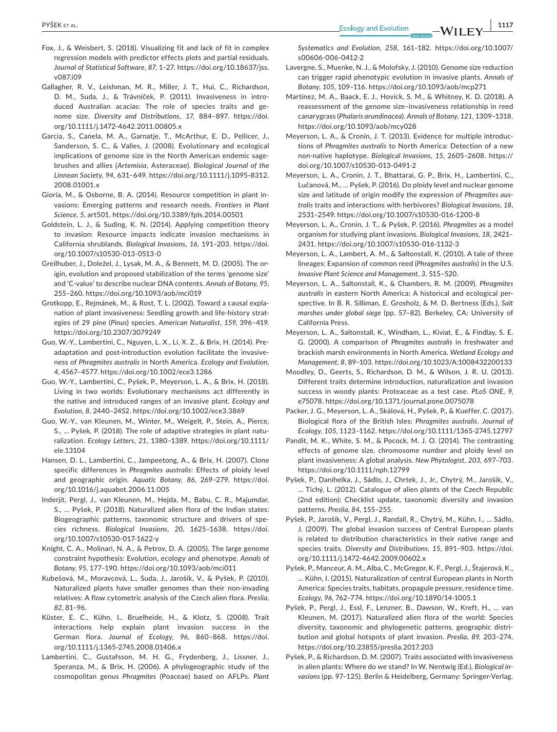- Fox, J., & Weisbert, S. (2018). Visualizing fit and lack of fit in complex regression models with predictor effects plots and partial residuals. *Journal of Statistical Software*, *87*, 1–27. [https://doi.org/10.18637/jss.](https://doi.org/10.18637/jss.v087.i09) [v087.i09](https://doi.org/10.18637/jss.v087.i09)
- Gallagher, R. V., Leishman, M. R., Miller, J. T., Hui, C., Richardson, D. M., Suda, J., & Trávníček, P. (2011). Invasiveness in introduced Australian acacias: The role of species traits and genome size. *Diversity and Distributions*, *17*, 884–897. [https://doi.](https://doi.org/10.1111/j.1472-4642.2011.00805.x) [org/10.1111/j.1472-4642.2011.00805.x](https://doi.org/10.1111/j.1472-4642.2011.00805.x)
- Garcia, S., Canela, M. A., Garnatje, T., McArthur, E. D., Pellicer, J., Sanderson, S. C., & Valles, J. (2008). Evolutionary and ecological implications of genome size in the North American endemic sagebrushes and allies (*Artemisia*, Asteraceae). *Biological Journal of the Linnean Society*, *94*, 631–649. [https://doi.org/10.1111/j.1095-8312.](https://doi.org/10.1111/j.1095-8312.2008.01001.x) [2008.01001.x](https://doi.org/10.1111/j.1095-8312.2008.01001.x)
- Gioria, M., & Osborne, B. A. (2014). Resource competition in plant invasions: Emerging patterns and research needs. *Frontiers in Plant Science*, *5*, art501.<https://doi.org/10.3389/fpls.2014.00501>
- Goldstein, L. J., & Suding, K. N. (2014). Applying competition theory to invasion: Resource impacts indicate invasion mechanisms in California shrublands. *Biological Invasions*, *16*, 191–203. [https://doi.](https://doi.org/10.1007/s10530-013-0513-0) [org/10.1007/s10530-013-0513-0](https://doi.org/10.1007/s10530-013-0513-0)
- Greilhuber, J., Doležel, J., Lysak, M. A., & Bennett, M. D. (2005). The origin, evolution and proposed stabilization of the terms 'genome size' and 'C-value' to describe nuclear DNA contents. *Annals of Botany*, *95*, 255–260. <https://doi.org/10.1093/aob/mci019>
- Grotkopp, E., Rejmánek, M., & Rost, T. L. (2002). Toward a causal explanation of plant invasiveness: Seedling growth and life-history strategies of 29 pine (*Pinus*) species. *American Naturalist*, *159*, 396–419. <https://doi.org/10.2307/3079249>
- Guo, W.-Y., Lambertini, C., Nguyen, L. X., Li, X. Z., & Brix, H. (2014). Preadaptation and post-introduction evolution facilitate the invasiveness of *Phragmites australis* in North America. *Ecology and Evolution*, *4*, 4567–4577. <https://doi.org/10.1002/ece3.1286>
- Guo, W.-Y., Lambertini, C., Pyšek, P., Meyerson, L. A., & Brix, H. (2018). Living in two worlds: Evolutionary mechanisms act differently in the native and introduced ranges of an invasive plant. *Ecology and Evolution*, *8*, 2440–2452.<https://doi.org/10.1002/ece3.3869>
- Guo, W.-Y., van Kleunen, M., Winter, M., Weigelt, P., Stein, A., Pierce, S., … Pyšek, P. (2018). The role of adaptive strategies in plant naturalization. *Ecology Letters*, *21*, 1380–1389. [https://doi.org/10.1111/](https://doi.org/10.1111/ele.13104) [ele.13104](https://doi.org/10.1111/ele.13104)
- Hansen, D. L., Lambertini, C., Jampeetong, A., & Brix, H. (2007). Clone specific differences in *Phragmites australis*: Effects of ploidy level and geographic origin. *Aquatic Botany*, *86*, 269–279. [https://doi.](https://doi.org/10.1016/j.aquabot.2006.11.005) [org/10.1016/j.aquabot.2006.11.005](https://doi.org/10.1016/j.aquabot.2006.11.005)
- Inderjit, Pergl, J., van Kleunen, M., Hejda, M., Babu, C. R., Majumdar, S., … Pyšek, P. (2018). Naturalized alien flora of the Indian states: Biogeographic patterns, taxonomic structure and drivers of species richness. *Biological Invasions*, *20*, 1625–1638. [https://doi.](https://doi.org/10.1007/s10530-017-1622-y) [org/10.1007/s10530-017-1622-y](https://doi.org/10.1007/s10530-017-1622-y)
- Knight, C. A., Molinari, N. A., & Petrov, D. A. (2005). The large genome constraint hypothesis: Evolution, ecology and phenotype. *Annals of Botany*, *95*, 177–190. <https://doi.org/10.1093/aob/mci011>
- Kubešová, M., Moravcová, L., Suda, J., Jarošík, V., & Pyšek, P. (2010). Naturalized plants have smaller genomes than their non-invading relatives: A flow cytometric analysis of the Czech alien flora. *Preslia*, *82*, 81–96.
- Küster, E. C., Kühn, I., Bruelheide, H., & Klotz, S. (2008). Trait interactions help explain plant invasion success in the German flora. *Journal of Ecology*, *96*, 860–868. [https://doi.](https://doi.org/10.1111/j.1365-2745.2008.01406.x) [org/10.1111/j.1365-2745.2008.01406.x](https://doi.org/10.1111/j.1365-2745.2008.01406.x)
- Lambertini, C., Gustafsson, M. H. G., Frydenberg, J., Lissner, J., Speranza, M., & Brix, H. (2006). A phylogeographic study of the cosmopolitan genus *Phragmites* (Poaceae) based on AFLPs. *Plant*

*Systematics and Evolution*, *258*, 161–182. [https://doi.org/10.1007/](https://doi.org/10.1007/s00606-006-0412-2) [s00606-006-0412-2](https://doi.org/10.1007/s00606-006-0412-2)

- Lavergne, S., Muenke, N. J., & Molofsky, J. (2010). Genome size reduction can trigger rapid phenotypic evolution in invasive plants. *Annals of Botany*, *105*, 109–116.<https://doi.org/10.1093/aob/mcp271>
- Martinez, M. A., Baack, E. J., Hovick, S. M., & Whitney, K. D. (2018). A reassessment of the genome size–invasiveness relationship in reed canarygrass (*Phalaris arundinacea*). *Annals of Botany*, *121*, 1309–1318. <https://doi.org/10.1093/aob/mcy028>
- Meyerson, L. A., & Cronin, J. T. (2013). Evidence for multiple introductions of *Phragmites australis* to North America: Detection of a new non-native haplotype. *Biological Invasions*, *15*, 2605–2608. [https://](https://doi.org/10.1007/s10530-013-0491-2) [doi.org/10.1007/s10530-013-0491-2](https://doi.org/10.1007/s10530-013-0491-2)
- Meyerson, L. A., Cronin, J. T., Bhattarai, G. P., Brix, H., Lambertini, C., Lučanová, M., … Pyšek, P. (2016). Do ploidy level and nuclear genome size and latitude of origin modify the expression of *Phragmites australis* traits and interactions with herbivores? *Biological Invasions*, *18*, 2531–2549. <https://doi.org/10.1007/s10530-016-1200-8>
- Meyerson, L. A., Cronin, J. T., & Pyšek, P. (2016). *Phragmites* as a model organism for studying plant invasions. *Biological Invasions*, *18*, 2421– 2431. <https://doi.org/10.1007/s10530-016-1132-3>
- Meyerson, L. A., Lambert, A. M., & Saltonstall, K. (2010). A tale of three lineages: Expansion of common reed (*Phragmites australis*) in the U.S. *Invasive Plant Science and Management*, *3*, 515–520.
- Meyerson, L. A., Saltonstall, K., & Chambers, R. M. (2009). *Phragmites australis* in eastern North America: A historical and ecological perspective. In B. R. Silliman, E. Grosholz, & M. D. Bertness (Eds.), *Salt marshes under global siege* (pp. 57–82). Berkeley, CA: University of California Press.
- Meyerson, L. A., Saltonstall, K., Windham, L., Kiviat, E., & Findlay, S. E. G. (2000). A comparison of *Phragmites australis* in freshwater and brackish marsh environments in North America. *Wetland Ecology and Management*, *8*, 89–103.<https://doi.org/10.1023/A:1008432200133>
- Moodley, D., Geerts, S., Richardson, D. M., & Wilson, J. R. U. (2013). Different traits determine introduction, naturalization and invasion success in woody plants: Proteaceae as a test case. *PLoS ONE*, *9*, e75078.<https://doi.org/10.1371/journal.pone.0075078>
- Packer, J. G., Meyerson, L. A., Skálová, H., Pyšek, P., & Kueffer, C. (2017). Biological flora of the British Isles: *Phragmites australis*. *Journal of Ecology*, *105*, 1123–1162.<https://doi.org/10.1111/1365-2745.12797>
- Pandit, M. K., White, S. M., & Pocock, M. J. O. (2014). The contrasting effects of genome size, chromosome number and ploidy level on plant invasiveness: A global analysis. *New Phytologist*, *203*, 697–703. <https://doi.org/10.1111/nph.12799>
- Pyšek, P., Danihelka, J., Sádlo, J., Chrtek, J., Jr., Chytrý, M., Jarošík, V., … Tichý, L. (2012). Catalogue of alien plants of the Czech Republic (2nd edition): Checklist update, taxonomic diversity and invasion patterns. *Preslia*, *84*, 155–255.
- Pyšek, P., Jarošík, V., Pergl, J., Randall, R., Chytrý, M., Kühn, I., … Sádlo, J. (2009). The global invasion success of Central European plants is related to distribution characteristics in their native range and species traits. *Diversity and Distributions*, *15*, 891–903. [https://doi.](https://doi.org/10.1111/j.1472-4642.2009.00602.x) [org/10.1111/j.1472-4642.2009.00602.x](https://doi.org/10.1111/j.1472-4642.2009.00602.x)
- Pyšek, P., Manceur, A. M., Alba, C., McGregor, K. F., Pergl, J., Štajerová, K., … Kühn, I. (2015). Naturalization of central European plants in North America: Species traits, habitats, propagule pressure, residence time. *Ecology*, *96*, 762–774.<https://doi.org/10.1890/14-1005.1>
- Pyšek, P., Pergl, J., Essl, F., Lenzner, B., Dawson, W., Kreft, H., … van Kleunen, M. (2017). Naturalized alien flora of the world: Species diversity, taxonomic and phylogenetic patterns, geographic distribution and global hotspots of plant invasion. *Preslia*, *89*, 203–274. <https://doi.org/10.23855/preslia.2017.203>
- Pyšek, P., & Richardson, D. M. (2007). Traits associated with invasiveness in alien plants: Where do we stand? In W. Nentwig (Ed.), *Biological invasions* (pp. 97–125). Berlin & Heidelberg, Germany: Springer-Verlag.